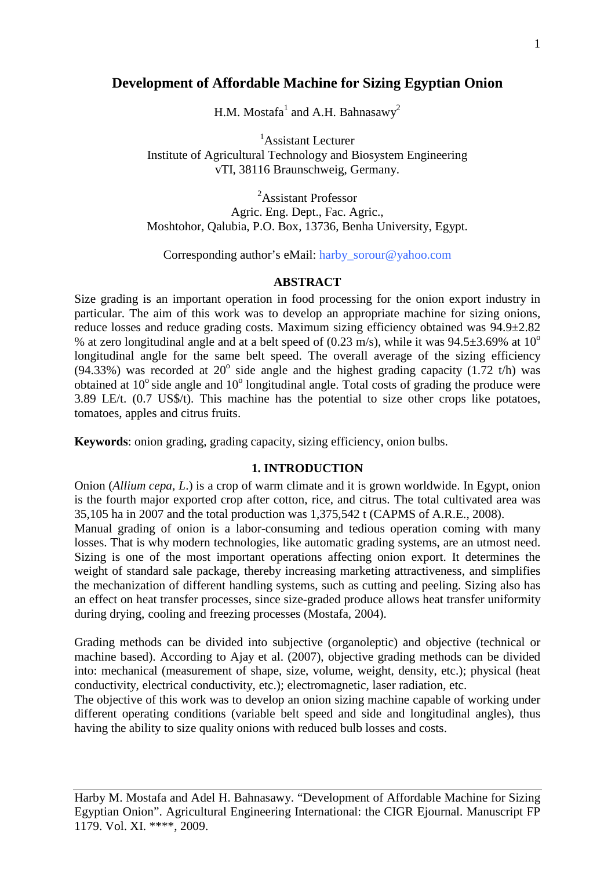# **Development of Affordable Machine for Sizing Egyptian Onion**

H.M. Mostafa<sup>1</sup> and A.H. Bahnasawy<sup>2</sup>

1 Assistant Lecturer Institute of Agricultural Technology and Biosystem Engineering vTI, 38116 Braunschweig, Germany.

<sup>2</sup>Assistant Professor Agric. Eng. Dept., Fac. Agric., Moshtohor, Qalubia, P.O. Box, 13736, Benha University, Egypt.

Corresponding author's eMail: [harby\\_sorour@yahoo.com](mailto:harby_sorour@yahoo.com)

## **ABSTRACT**

Size grading is an important operation in food processing for the onion export industry in particular. The aim of this work was to develop an appropriate machine for sizing onions, reduce losses and reduce grading costs. Maximum sizing efficiency obtained was 94.9±2.82 % at zero longitudinal angle and at a belt speed of  $(0.23 \text{ m/s})$ , while it was  $94.5\pm3.69\%$  at  $10^{\circ}$ longitudinal angle for the same belt speed. The overall average of the sizing efficiency (94.33%) was recorded at 20 $^{\circ}$  side angle and the highest grading capacity (1.72 t/h) was obtained at  $10^{\circ}$  side angle and  $10^{\circ}$  longitudinal angle. Total costs of grading the produce were 3.89 LE/t. (0.7 US\$/t). This machine has the potential to size other crops like potatoes, tomatoes, apples and citrus fruits.

**Keywords**: onion grading, grading capacity, sizing efficiency, onion bulbs.

# **1. INTRODUCTION**

Onion (*Allium cepa, L*.) is a crop of warm climate and it is grown worldwide. In Egypt, onion is the fourth major exported crop after cotton, rice, and citrus. The total cultivated area was 35,105 ha in 2007 and the total production was 1,375,542 t (CAPMS of A.R.E., 2008).

Manual grading of onion is a labor-consuming and tedious operation coming with many losses. That is why modern technologies, like automatic grading systems, are an utmost need. Sizing is one of the most important operations affecting onion export. It determines the weight of standard sale package, thereby increasing marketing attractiveness, and simplifies the mechanization of different handling systems, such as cutting and peeling. Sizing also has an effect on heat transfer processes, since size-graded produce allows heat transfer uniformity during drying, cooling and freezing processes (Mostafa, 2004).

Grading methods can be divided into subjective (organoleptic) and objective (technical or machine based). According to Ajay et al. (2007), objective grading methods can be divided into: mechanical (measurement of shape, size, volume, weight, density, etc.); physical (heat conductivity, electrical conductivity, etc.); electromagnetic, laser radiation, etc.

The objective of this work was to develop an onion sizing machine capable of working under different operating conditions (variable belt speed and side and longitudinal angles), thus having the ability to size quality onions with reduced bulb losses and costs.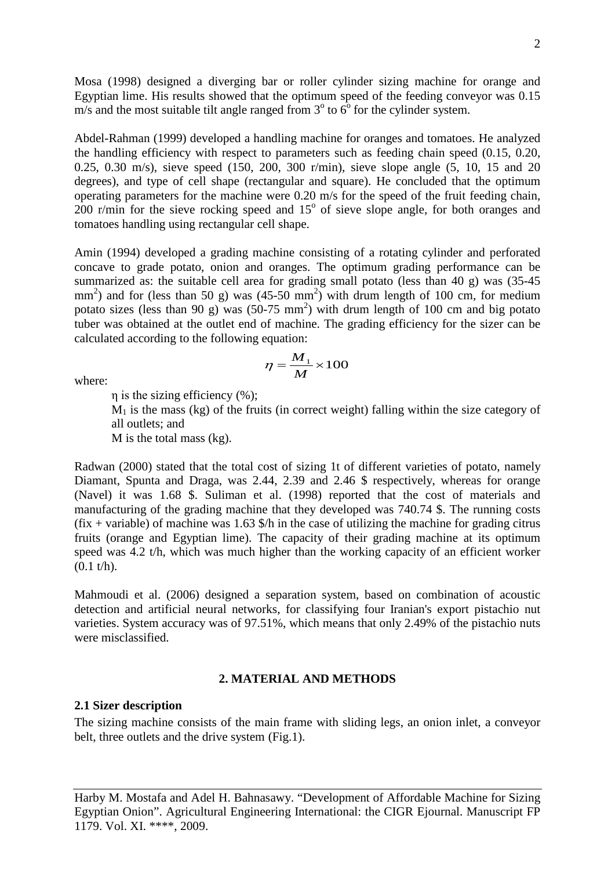Mosa (1998) designed a diverging bar or roller cylinder sizing machine for orange and Egyptian lime. His results showed that the optimum speed of the feeding conveyor was 0.15 m/s and the most suitable tilt angle ranged from  $3^\circ$  to  $6^\circ$  for the cylinder system.

Abdel-Rahman (1999) developed a handling machine for oranges and tomatoes. He analyzed the handling efficiency with respect to parameters such as feeding chain speed (0.15, 0.20, 0.25, 0.30 m/s), sieve speed (150, 200, 300 r/min), sieve slope angle (5, 10, 15 and 20 degrees), and type of cell shape (rectangular and square). He concluded that the optimum operating parameters for the machine were 0.20 m/s for the speed of the fruit feeding chain, 200 r/min for the sieve rocking speed and  $15^{\circ}$  of sieve slope angle, for both oranges and tomatoes handling using rectangular cell shape.

Amin (1994) developed a grading machine consisting of a rotating cylinder and perforated concave to grade potato, onion and oranges. The optimum grading performance can be summarized as: the suitable cell area for grading small potato (less than 40 g) was (35-45  $mm<sup>2</sup>$ ) and for (less than 50 g) was (45-50  $mm<sup>2</sup>$ ) with drum length of 100 cm, for medium potato sizes (less than 90 g) was  $(50-75 \text{ mm}^2)$  with drum length of 100 cm and big potato tuber was obtained at the outlet end of machine. The grading efficiency for the sizer can be calculated according to the following equation:

> $=\frac{M_1}{M_1}\times 100$ *M*

 $\eta = \frac{M}{I}$ 

where:

η is the sizing efficiency (%);

 $M<sub>1</sub>$  is the mass (kg) of the fruits (in correct weight) falling within the size category of all outlets; and

M is the total mass (kg).

Radwan (2000) stated that the total cost of sizing 1t of different varieties of potato, namely Diamant, Spunta and Draga, was 2.44, 2.39 and 2.46 \$ respectively, whereas for orange (Navel) it was 1.68 \$. Suliman et al. (1998) reported that the cost of materials and manufacturing of the grading machine that they developed was 740.74 \$. The running costs  $(fix + variable)$  of machine was 1.63 \$/h in the case of utilizing the machine for grading citrus fruits (orange and Egyptian lime). The capacity of their grading machine at its optimum speed was 4.2 t/h, which was much higher than the working capacity of an efficient worker  $(0.1 t/h)$ .

Mahmoudi et al. (2006) designed a separation system, based on combination of acoustic detection and artificial neural networks, for classifying four Iranian's export pistachio nut varieties. System accuracy was of 97.51%, which means that only 2.49% of the pistachio nuts were misclassified.

## **2. MATERIAL AND METHODS**

### **2.1 Sizer description**

The sizing machine consists of the main frame with sliding legs, an onion inlet, a conveyor belt, three outlets and the drive system (Fig.1).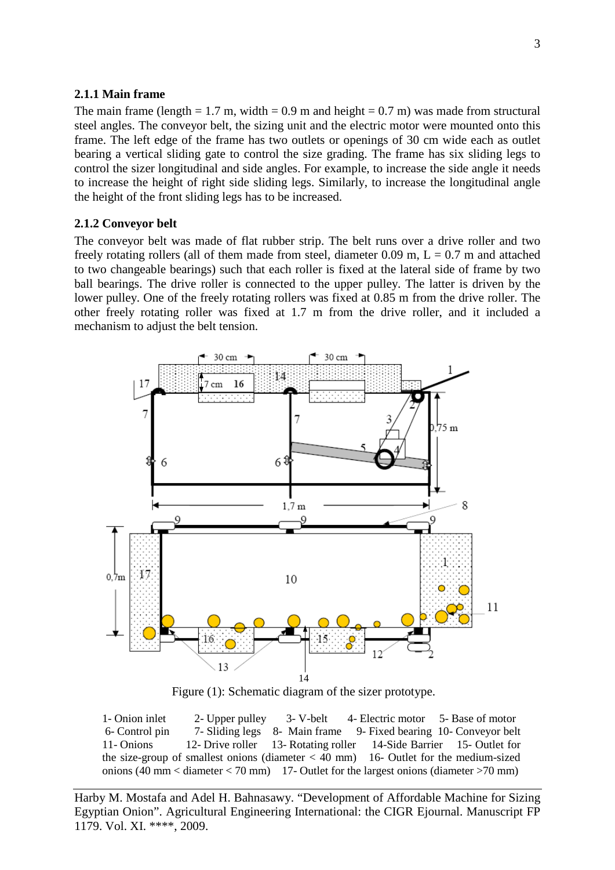#### **2.1.1 Main frame**

The main frame (length  $= 1.7$  m, width  $= 0.9$  m and height  $= 0.7$  m) was made from structural steel angles. The conveyor belt, the sizing unit and the electric motor were mounted onto this frame. The left edge of the frame has two outlets or openings of 30 cm wide each as outlet bearing a vertical sliding gate to control the size grading. The frame has six sliding legs to control the sizer longitudinal and side angles. For example, to increase the side angle it needs to increase the height of right side sliding legs. Similarly, to increase the longitudinal angle the height of the front sliding legs has to be increased.

### **2.1.2 Conveyor belt**

The conveyor belt was made of flat rubber strip. The belt runs over a drive roller and two freely rotating rollers (all of them made from steel, diameter 0.09 m,  $L = 0.7$  m and attached to two changeable bearings) such that each roller is fixed at the lateral side of frame by two ball bearings. The drive roller is connected to the upper pulley. The latter is driven by the lower pulley. One of the freely rotating rollers was fixed at 0.85 m from the drive roller. The other freely rotating roller was fixed at 1.7 m from the drive roller, and it included a mechanism to adjust the belt tension.



Figure (1): Schematic diagram of the sizer prototype.

1- Onion inlet 2- Upper pulley 3- V-belt 4- Electric motor 5- Base of motor 6- Control pin 7- Sliding legs 8- Main frame 9- Fixed bearing 10- Conveyor belt 11- Onions 12- Drive roller 13- Rotating roller 14-Side Barrier 15- Outlet for the size-group of smallest onions (diameter  $< 40$  mm) 16- Outlet for the medium-sized onions (40 mm < diameter < 70 mm) 17- Outlet for the largest onions (diameter >70 mm)

Harby M. Mostafa and Adel H. Bahnasawy. "Development of Affordable Machine for Sizing Egyptian Onion". Agricultural Engineering International: the CIGR Ejournal. Manuscript FP 1179. Vol. XI. \*\*\*\*, 2009.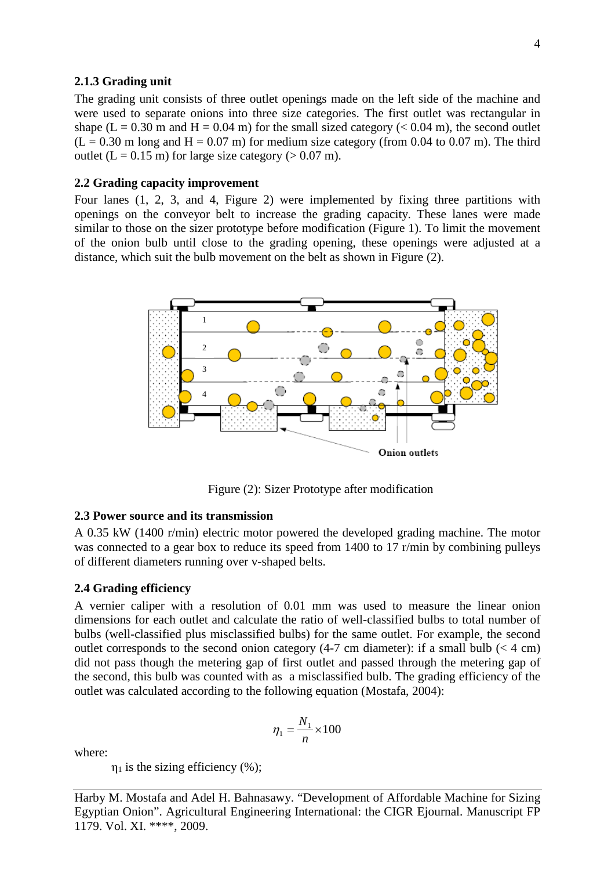### **2.1.3 Grading unit**

The grading unit consists of three outlet openings made on the left side of the machine and were used to separate onions into three size categories. The first outlet was rectangular in shape (L = 0.30 m and H = 0.04 m) for the small sized category ( $<$  0.04 m), the second outlet  $(L = 0.30 \text{ m} \text{ long and } H = 0.07 \text{ m})$  for medium size category (from 0.04 to 0.07 m). The third outlet  $(L = 0.15 \text{ m})$  for large size category ( $> 0.07 \text{ m}$ ).

### **2.2 Grading capacity improvement**

Four lanes (1, 2, 3, and 4, Figure 2) were implemented by fixing three partitions with openings on the conveyor belt to increase the grading capacity. These lanes were made similar to those on the sizer prototype before modification (Figure 1). To limit the movement of the onion bulb until close to the grading opening, these openings were adjusted at a distance, which suit the bulb movement on the belt as shown in Figure (2).



Figure (2): Sizer Prototype after modification

## **2.3 Power source and its transmission**

A 0.35 kW (1400 r/min) electric motor powered the developed grading machine. The motor was connected to a gear box to reduce its speed from 1400 to 17 r/min by combining pulleys of different diameters running over v-shaped belts.

#### **2.4 Grading efficiency**

A vernier caliper with a resolution of 0.01 mm was used to measure the linear onion dimensions for each outlet and calculate the ratio of well-classified bulbs to total number of bulbs (well-classified plus misclassified bulbs) for the same outlet. For example, the second outlet corresponds to the second onion category  $(4-7 \text{ cm diameter})$ : if a small bulb  $(< 4 \text{ cm})$ did not pass though the metering gap of first outlet and passed through the metering gap of the second, this bulb was counted with as a misclassified bulb. The grading efficiency of the outlet was calculated according to the following equation (Mostafa, 2004):

$$
\eta_1 = \frac{N_1}{n} \times 100
$$

where:

 $\eta_1$  is the sizing efficiency (%);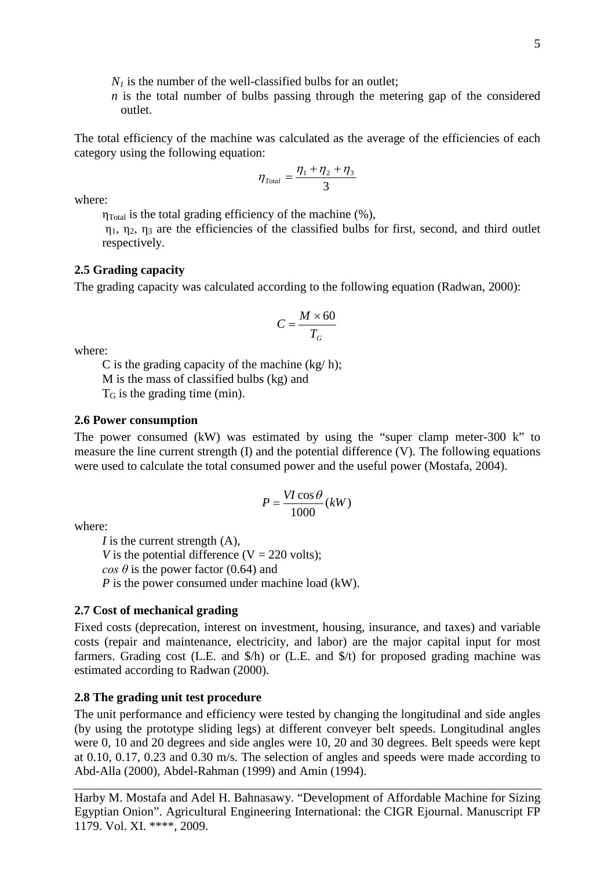$N_I$  is the number of the well-classified bulbs for an outlet;

*n* is the total number of bulbs passing through the metering gap of the considered outlet.

The total efficiency of the machine was calculated as the average of the efficiencies of each category using the following equation:

$$
\eta_{\text{Total}} = \frac{\eta_1 + \eta_2 + \eta_3}{3}
$$

where:

 $\eta_{\text{Total}}$  is the total grading efficiency of the machine  $(\%)$ .

 $\eta_1$ ,  $\eta_2$ ,  $\eta_3$  are the efficiencies of the classified bulbs for first, second, and third outlet respectively.

## **2.5 Grading capacity**

The grading capacity was calculated according to the following equation (Radwan, 2000):

$$
C = \frac{M \times 60}{T_G}
$$

where:

C is the grading capacity of the machine  $(kg/h)$ ; M is the mass of classified bulbs (kg) and  $T<sub>G</sub>$  is the grading time (min).

#### **2.6 Power consumption**

The power consumed (kW) was estimated by using the "super clamp meter-300 k" to measure the line current strength (I) and the potential difference (V). The following equations were used to calculate the total consumed power and the useful power (Mostafa, 2004).

$$
P = \frac{VI\cos\theta}{1000}(kW)
$$

where:

*I* is the current strength (A), *V* is the potential difference ( $V = 220$  volts); *cos*  $\theta$  is the power factor (0.64) and *P* is the power consumed under machine load (kW).

### **2.7 Cost of mechanical grading**

Fixed costs (deprecation, interest on investment, housing, insurance, and taxes) and variable costs (repair and maintenance, electricity, and labor) are the major capital input for most farmers. Grading cost (L.E. and \$/h) or (L.E. and \$/t) for proposed grading machine was estimated according to Radwan (2000).

## **2.8 The grading unit test procedure**

The unit performance and efficiency were tested by changing the longitudinal and side angles (by using the prototype sliding legs) at different conveyer belt speeds. Longitudinal angles were 0, 10 and 20 degrees and side angles were 10, 20 and 30 degrees. Belt speeds were kept at 0.10, 0.17, 0.23 and 0.30 m/s. The selection of angles and speeds were made according to Abd-Alla (2000), Abdel-Rahman (1999) and Amin (1994).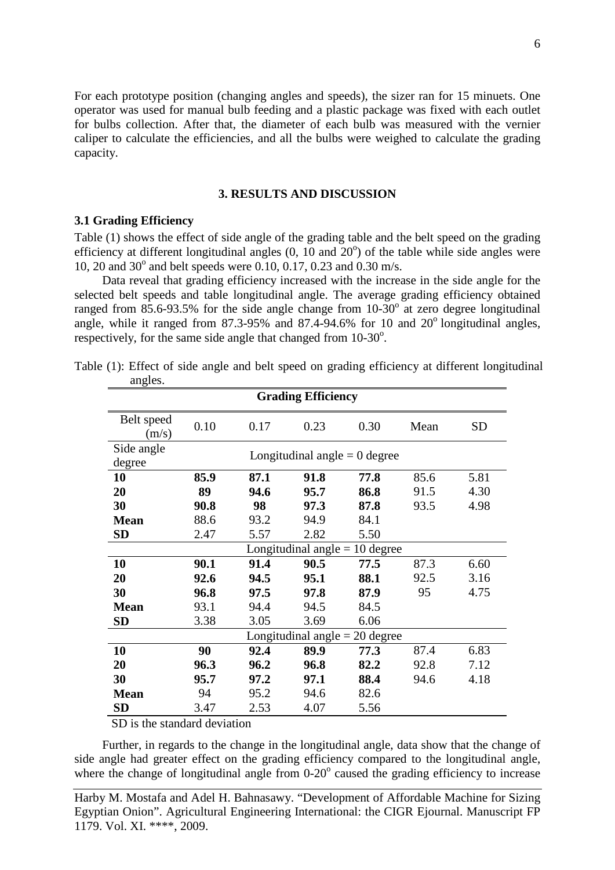For each prototype position (changing angles and speeds), the sizer ran for 15 minuets. One operator was used for manual bulb feeding and a plastic package was fixed with each outlet for bulbs collection. After that, the diameter of each bulb was measured with the vernier caliper to calculate the efficiencies, and all the bulbs were weighed to calculate the grading capacity.

#### **3. RESULTS AND DISCUSSION**

## **3.1 Grading Efficiency**

Table (1) shows the effect of side angle of the grading table and the belt speed on the grading efficiency at different longitudinal angles  $(0, 10$  and  $20^{\circ})$  of the table while side angles were 10, 20 and 30 $^{\circ}$  and belt speeds were 0.10, 0.17, 0.23 and 0.30 m/s.

Data reveal that grading efficiency increased with the increase in the side angle for the selected belt speeds and table longitudinal angle. The average grading efficiency obtained ranged from 85.6-93.5% for the side angle change from  $10-30^\circ$  at zero degree longitudinal angle, while it ranged from  $87.3\n-95\%$  and  $87.4\n-94.6\%$  for 10 and  $20^\circ$  longitudinal angles, respectively, for the same side angle that changed from 10-30°.

| <b>SD</b>                                             |  |  |  |  |  |  |  |  |  |
|-------------------------------------------------------|--|--|--|--|--|--|--|--|--|
| Longitudinal angle $= 0$ degree                       |  |  |  |  |  |  |  |  |  |
| 5.81                                                  |  |  |  |  |  |  |  |  |  |
| 4.30                                                  |  |  |  |  |  |  |  |  |  |
| 4.98                                                  |  |  |  |  |  |  |  |  |  |
|                                                       |  |  |  |  |  |  |  |  |  |
|                                                       |  |  |  |  |  |  |  |  |  |
| <b>SD</b><br>5.50<br>Longitudinal angle $= 10$ degree |  |  |  |  |  |  |  |  |  |
| 6.60                                                  |  |  |  |  |  |  |  |  |  |
| 3.16                                                  |  |  |  |  |  |  |  |  |  |
| 4.75                                                  |  |  |  |  |  |  |  |  |  |
|                                                       |  |  |  |  |  |  |  |  |  |
|                                                       |  |  |  |  |  |  |  |  |  |
| Longitudinal angle $= 20$ degree                      |  |  |  |  |  |  |  |  |  |
| 6.83                                                  |  |  |  |  |  |  |  |  |  |
| 7.12                                                  |  |  |  |  |  |  |  |  |  |
| 4.18                                                  |  |  |  |  |  |  |  |  |  |
|                                                       |  |  |  |  |  |  |  |  |  |
|                                                       |  |  |  |  |  |  |  |  |  |
|                                                       |  |  |  |  |  |  |  |  |  |

Table (1): Effect of side angle and belt speed on grading efficiency at different longitudinal angles

SD is the standard deviation

Further, in regards to the change in the longitudinal angle, data show that the change of side angle had greater effect on the grading efficiency compared to the longitudinal angle, where the change of longitudinal angle from  $0-20^\circ$  caused the grading efficiency to increase

Harby M. Mostafa and Adel H. Bahnasawy. "Development of Affordable Machine for Sizing Egyptian Onion". Agricultural Engineering International: the CIGR Ejournal. Manuscript FP 1179. Vol. XI. \*\*\*\*, 2009.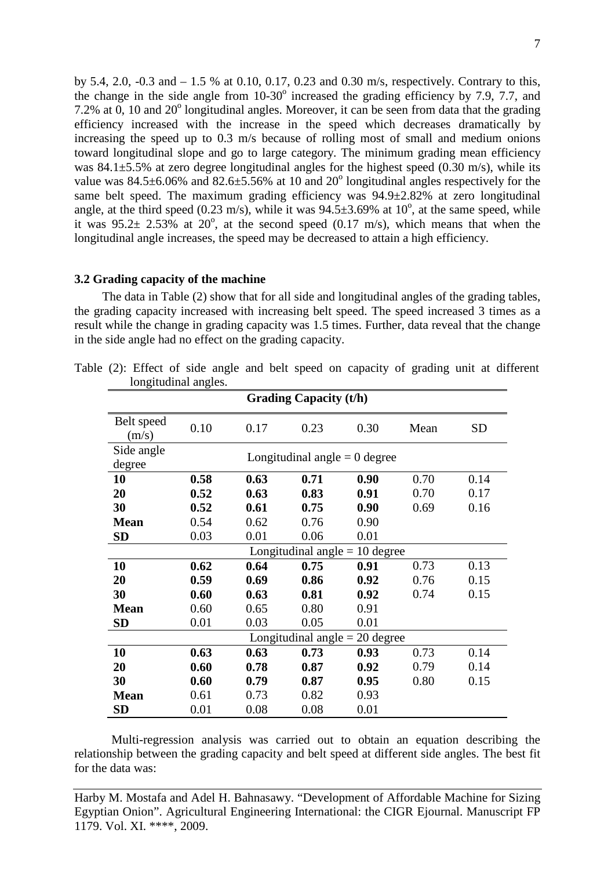by 5.4, 2.0, -0.3 and – 1.5 % at 0.10, 0.17, 0.23 and 0.30 m/s, respectively. Contrary to this, the change in the side angle from  $10-30^\circ$  increased the grading efficiency by 7.9, 7.7, and 7.2% at  $0.10$  and  $20^{\circ}$  longitudinal angles. Moreover, it can be seen from data that the grading efficiency increased with the increase in the speed which decreases dramatically by increasing the speed up to 0.3 m/s because of rolling most of small and medium onions toward longitudinal slope and go to large category. The minimum grading mean efficiency was  $84.1 \pm 5.5$ % at zero degree longitudinal angles for the highest speed (0.30 m/s), while its value was  $84.5\pm6.06\%$  and  $82.6\pm5.56\%$  at 10 and  $20^{\circ}$  longitudinal angles respectively for the same belt speed. The maximum grading efficiency was 94.9±2.82% at zero longitudinal angle, at the third speed (0.23 m/s), while it was  $94.5 \pm 3.69\%$  at 10<sup>o</sup>, at the same speed, while it was  $95.2 \pm 2.53\%$  at  $20^{\circ}$ , at the second speed (0.17 m/s), which means that when the longitudinal angle increases, the speed may be decreased to attain a high efficiency.

# **3.2 Grading capacity of the machine**

The data in Table (2) show that for all side and longitudinal angles of the grading tables, the grading capacity increased with increasing belt speed. The speed increased 3 times as a result while the change in grading capacity was 1.5 times. Further, data reveal that the change in the side angle had no effect on the grading capacity.

| rongnuumar angics.               |                                  |      |              |      |      |           |  |  |  |
|----------------------------------|----------------------------------|------|--------------|------|------|-----------|--|--|--|
| <b>Grading Capacity (t/h)</b>    |                                  |      |              |      |      |           |  |  |  |
| Belt speed<br>(m/s)              | 0.10                             | 0.17 | 0.23         | 0.30 | Mean | <b>SD</b> |  |  |  |
| Side angle<br>degree             | Longitudinal angle $= 0$ degree  |      |              |      |      |           |  |  |  |
| <b>10</b>                        | 0.58                             | 0.63 | 0.71         | 0.90 | 0.70 | 0.14      |  |  |  |
| 20                               | 0.52                             | 0.63 | 0.83<br>0.91 |      | 0.70 | 0.17      |  |  |  |
| 30                               | 0.52                             | 0.61 | 0.75         | 0.90 | 0.69 | 0.16      |  |  |  |
| <b>Mean</b>                      | 0.54                             | 0.62 | 0.76         | 0.90 |      |           |  |  |  |
| <b>SD</b>                        | 0.03                             | 0.01 | 0.06         | 0.01 |      |           |  |  |  |
|                                  | Longitudinal angle $= 10$ degree |      |              |      |      |           |  |  |  |
| 10                               | 0.62                             | 0.64 | 0.75         | 0.91 | 0.73 | 0.13      |  |  |  |
| 20                               | 0.59                             | 0.69 | 0.86         | 0.92 | 0.76 | 0.15      |  |  |  |
| 30                               | 0.60                             | 0.63 | 0.81         | 0.92 | 0.74 | 0.15      |  |  |  |
| <b>Mean</b>                      | 0.60                             | 0.65 | 0.80         | 0.91 |      |           |  |  |  |
| SD                               | 0.01                             | 0.03 | 0.05         | 0.01 |      |           |  |  |  |
| Longitudinal angle $= 20$ degree |                                  |      |              |      |      |           |  |  |  |
| 10                               | 0.63                             | 0.63 | 0.73         | 0.93 | 0.73 | 0.14      |  |  |  |
| 20                               | 0.60                             | 0.78 | 0.87         | 0.92 | 0.79 | 0.14      |  |  |  |
| 30                               | 0.60                             | 0.79 | 0.87         | 0.95 | 0.80 | 0.15      |  |  |  |
| <b>Mean</b>                      | 0.61                             | 0.73 | 0.82         | 0.93 |      |           |  |  |  |
| SD                               | 0.01                             | 0.08 | 0.08         | 0.01 |      |           |  |  |  |

Table (2): Effect of side angle and belt speed on capacity of grading unit at different longitudinal angles.

Multi-regression analysis was carried out to obtain an equation describing the relationship between the grading capacity and belt speed at different side angles. The best fit for the data was: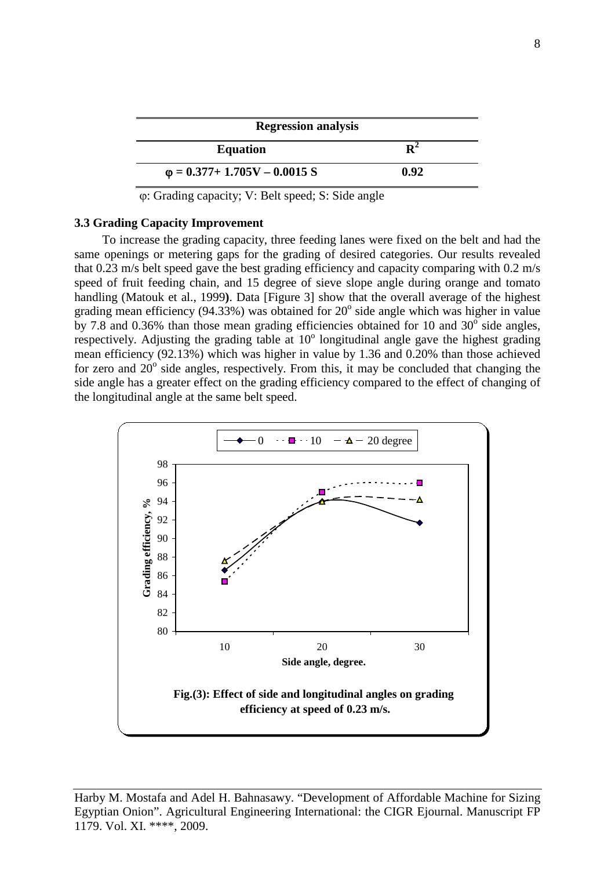| <b>Regression analysis</b>           |      |  |  |  |  |  |
|--------------------------------------|------|--|--|--|--|--|
| <b>Equation</b>                      |      |  |  |  |  |  |
| $\varphi = 0.377 + 1.705V - 0.0015S$ | 0.92 |  |  |  |  |  |

ϕ: Grading capacity; V: Belt speed; S: Side angle

## **3.3 Grading Capacity Improvement**

To increase the grading capacity, three feeding lanes were fixed on the belt and had the same openings or metering gaps for the grading of desired categories. Our results revealed that 0.23 m/s belt speed gave the best grading efficiency and capacity comparing with 0.2 m/s speed of fruit feeding chain, and 15 degree of sieve slope angle during orange and tomato handling (Matouk et al., 1999**)**. Data [Figure 3] show that the overall average of the highest grading mean efficiency (94.33%) was obtained for  $20^{\circ}$  side angle which was higher in value by 7.8 and 0.36% than those mean grading efficiencies obtained for 10 and  $30^{\circ}$  side angles, respectively. Adjusting the grading table at  $10^{\circ}$  longitudinal angle gave the highest grading mean efficiency (92.13%) which was higher in value by 1.36 and 0.20% than those achieved for zero and  $20^{\circ}$  side angles, respectively. From this, it may be concluded that changing the side angle has a greater effect on the grading efficiency compared to the effect of changing of the longitudinal angle at the same belt speed.

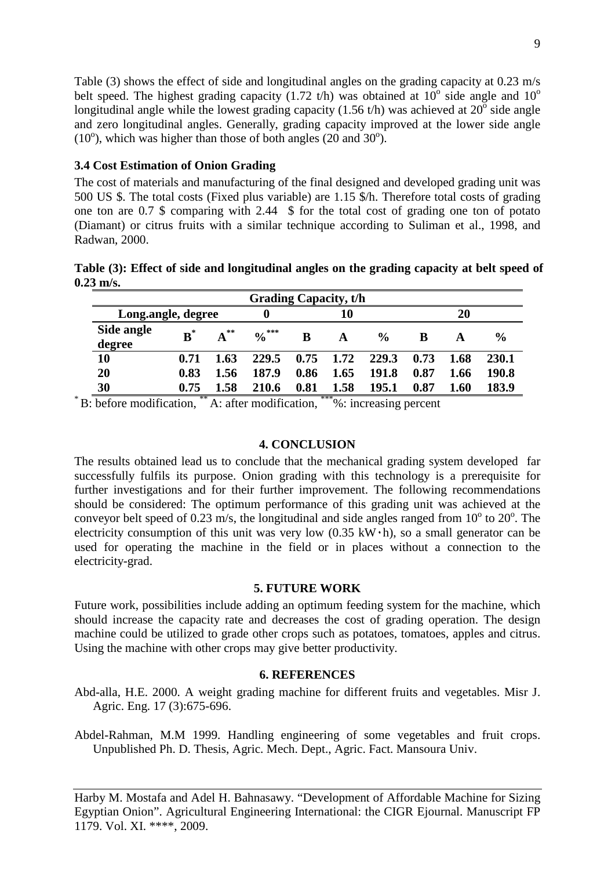Table (3) shows the effect of side and longitudinal angles on the grading capacity at 0.23 m/s belt speed. The highest grading capacity (1.72 t/h) was obtained at  $10^{\circ}$  side angle and  $10^{\circ}$ longitudinal angle while the lowest grading capacity (1.56 t/h) was achieved at  $20^{\circ}$  side angle and zero longitudinal angles. Generally, grading capacity improved at the lower side angle  $(10^{\circ})$ , which was higher than those of both angles  $(20 \text{ and } 30^{\circ})$ .

# **3.4 Cost Estimation of Onion Grading**

The cost of materials and manufacturing of the final designed and developed grading unit was 500 US \$. The total costs (Fixed plus variable) are 1.15 \$/h. Therefore total costs of grading one ton are 0.7 \$ comparing with 2.44 \$ for the total cost of grading one ton of potato (Diamant) or citrus fruits with a similar technique according to Suliman et al., 1998, and Radwan, 2000.

**Table (3): Effect of side and longitudinal angles on the grading capacity at belt speed of 0.23 m/s.**

| <b>Grading Capacity, t/h</b> |                |          |                   |      |      |               |      |      |               |
|------------------------------|----------------|----------|-------------------|------|------|---------------|------|------|---------------|
| Long.angle, degree           |                |          |                   | 10   |      |               | 20   |      |               |
| Side angle<br>degree         | $\mathbf{B}^*$ | $A^{**}$ | $\frac{0}{6}$ *** | B    | A    | $\frac{0}{0}$ | B    |      | $\frac{0}{0}$ |
| 10                           | 0.71           | 1.63     | 229.5             | 0.75 | 1.72 | 229.3         | 0.73 | 1.68 | 230.1         |
| 20                           | 0.83           | 1.56     | 187.9             | 0.86 | 1.65 | 191.8         | 0.87 | 1.66 | 190.8         |
| 30                           | 0.75           | 1.58     | 210.6             | 0.81 | 1.58 | 195.1         | 0.87 | l.60 | 183.9         |

\* B: before modification, \*\* A: after modification, \*\*\*%: increasing percent

# **4. CONCLUSION**

The results obtained lead us to conclude that the mechanical grading system developed far successfully fulfils its purpose. Onion grading with this technology is a prerequisite for further investigations and for their further improvement. The following recommendations should be considered: The optimum performance of this grading unit was achieved at the conveyor belt speed of 0.23 m/s, the longitudinal and side angles ranged from  $10^{\circ}$  to  $20^{\circ}$ . The electricity consumption of this unit was very low  $(0.35 \text{ kW} \cdot \text{h})$ , so a small generator can be used for operating the machine in the field or in places without a connection to the electricity-grad.

## **5. FUTURE WORK**

Future work, possibilities include adding an optimum feeding system for the machine, which should increase the capacity rate and decreases the cost of grading operation. The design machine could be utilized to grade other crops such as potatoes, tomatoes, apples and citrus. Using the machine with other crops may give better productivity.

# **6. REFERENCES**

Abd-alla, H.E. 2000. A weight grading machine for different fruits and vegetables. Misr J. Agric. Eng. 17 (3):675-696.

Abdel-Rahman, M.M 1999. Handling engineering of some vegetables and fruit crops. Unpublished Ph. D. Thesis, Agric. Mech. Dept., Agric. Fact. Mansoura Univ.